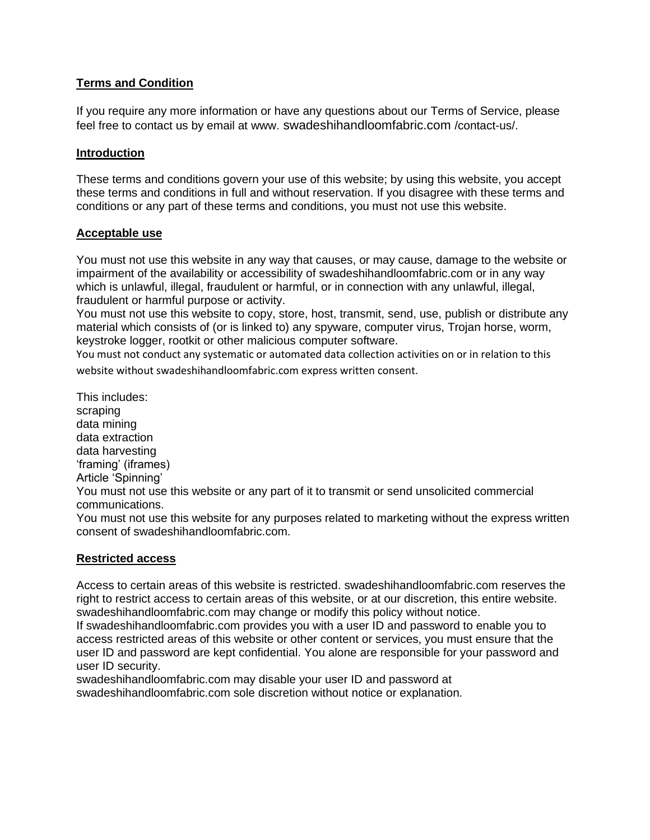# **Terms and Condition**

If you require any more information or have any questions about our Terms of Service, please feel free to contact us by email at www. swadeshihandloomfabric.com /contact-us/.

## **Introduction**

These terms and conditions govern your use of this website; by using this website, you accept these terms and conditions in full and without reservation. If you disagree with these terms and conditions or any part of these terms and conditions, you must not use this website.

## **Acceptable use**

You must not use this website in any way that causes, or may cause, damage to the website or impairment of the availability or accessibility of swadeshihandloomfabric.com or in any way which is unlawful, illegal, fraudulent or harmful, or in connection with any unlawful, illegal, fraudulent or harmful purpose or activity.

You must not use this website to copy, store, host, transmit, send, use, publish or distribute any material which consists of (or is linked to) any spyware, computer virus, Trojan horse, worm, keystroke logger, rootkit or other malicious computer software.

You must not conduct any systematic or automated data collection activities on or in relation to this website without swadeshihandloomfabric.com express written consent.

This includes: scraping data mining data extraction data harvesting 'framing' (iframes) Article 'Spinning' You must not use this website or any part of it to transmit or send unsolicited commercial communications. You must not use this website for any purposes related to marketing without the express written consent of swadeshihandloomfabric.com.

## **Restricted access**

Access to certain areas of this website is restricted. swadeshihandloomfabric.com reserves the right to restrict access to certain areas of this website, or at our discretion, this entire website. swadeshihandloomfabric.com may change or modify this policy without notice.

If swadeshihandloomfabric.com provides you with a user ID and password to enable you to access restricted areas of this website or other content or services, you must ensure that the user ID and password are kept confidential. You alone are responsible for your password and user ID security.

swadeshihandloomfabric.com may disable your user ID and password at swadeshihandloomfabric.com sole discretion without notice or explanation.